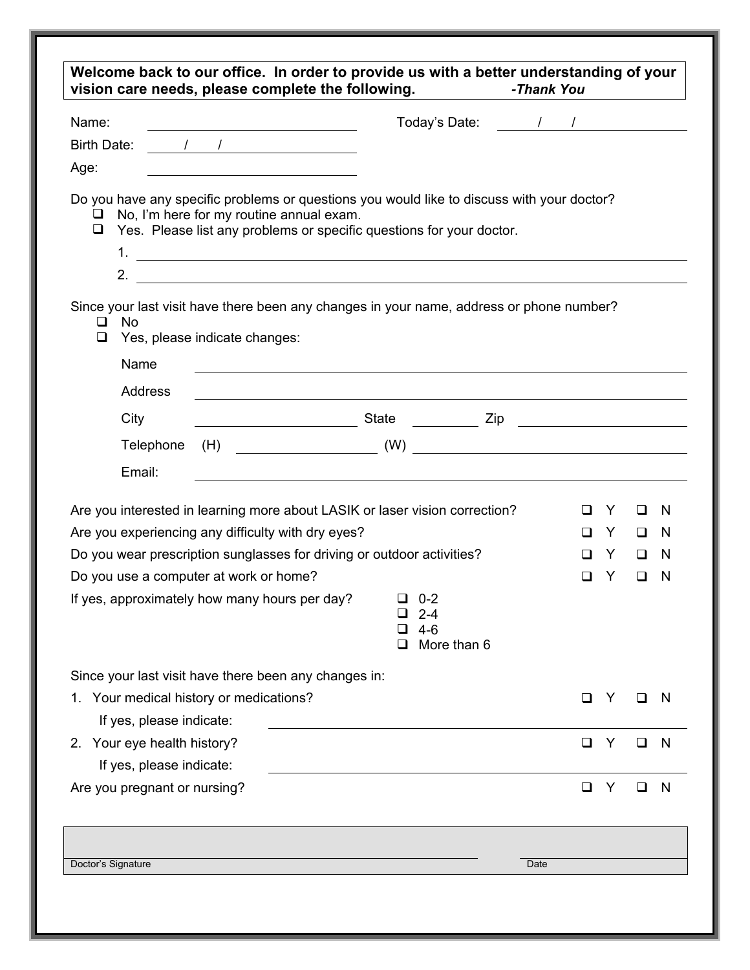| Name:                                                                                                                                                                                                                         | Today's Date: The Manufacturer of the Manufacturer of the Manufacturer of the Manufacturer of the Manufacturer        |         |         |              |
|-------------------------------------------------------------------------------------------------------------------------------------------------------------------------------------------------------------------------------|-----------------------------------------------------------------------------------------------------------------------|---------|---------|--------------|
| Birth Date: 1 1                                                                                                                                                                                                               |                                                                                                                       |         |         |              |
| Age:                                                                                                                                                                                                                          |                                                                                                                       |         |         |              |
| Do you have any specific problems or questions you would like to discuss with your doctor?<br>No, I'm here for my routine annual exam.<br>⊔<br>Yes. Please list any problems or specific questions for your doctor.<br>$\Box$ |                                                                                                                       |         |         |              |
| Since your last visit have there been any changes in your name, address or phone number?<br><b>No</b><br>ப<br>Yes, please indicate changes:<br>$\Box$<br>Name                                                                 | <u> 1989 - Johann John Stone, markin film yn y brening yn y brening yn y brening yn y brening y brening yn y bre</u>  |         |         |              |
| <b>Address</b>                                                                                                                                                                                                                | <u> 1989 - Johann Stoff, deutscher Stoffen und der Stoffen und der Stoffen und der Stoffen und der Stoffen und de</u> |         |         |              |
| City                                                                                                                                                                                                                          |                                                                                                                       |         |         |              |
| Telephone                                                                                                                                                                                                                     | $\begin{array}{c} \text{(H)}\\ \text{(H)}\\ \end{array}$                                                              |         |         |              |
| Email:                                                                                                                                                                                                                        |                                                                                                                       |         |         |              |
| Are you interested in learning more about LASIK or laser vision correction?                                                                                                                                                   |                                                                                                                       | Y       | ப       | N            |
| Are you experiencing any difficulty with dry eyes?                                                                                                                                                                            |                                                                                                                       | □<br>Y. | $\Box$  | <sub>N</sub> |
| Do you wear prescription sunglasses for driving or outdoor activities?                                                                                                                                                        |                                                                                                                       |         | Y.<br>□ | - N          |
| Do you use a computer at work or home?                                                                                                                                                                                        |                                                                                                                       | Y<br>П  | □       | N            |
| If yes, approximately how many hours per day? $\Box$ 0-2                                                                                                                                                                      | $2 - 4$<br>$4 - 6$<br>ப<br>More than 6<br>⊔                                                                           |         |         |              |
| Since your last visit have there been any changes in:                                                                                                                                                                         |                                                                                                                       |         |         |              |
| 1. Your medical history or medications?<br>If yes, please indicate:                                                                                                                                                           |                                                                                                                       | □<br>Y  | ப       | N            |
| 2. Your eye health history?                                                                                                                                                                                                   |                                                                                                                       | ❏<br>Y  | ப       | N            |
| If yes, please indicate:                                                                                                                                                                                                      |                                                                                                                       |         |         |              |
| Are you pregnant or nursing?                                                                                                                                                                                                  |                                                                                                                       | □<br>Y  | ப       | N            |
|                                                                                                                                                                                                                               |                                                                                                                       |         |         |              |
|                                                                                                                                                                                                                               |                                                                                                                       |         |         |              |